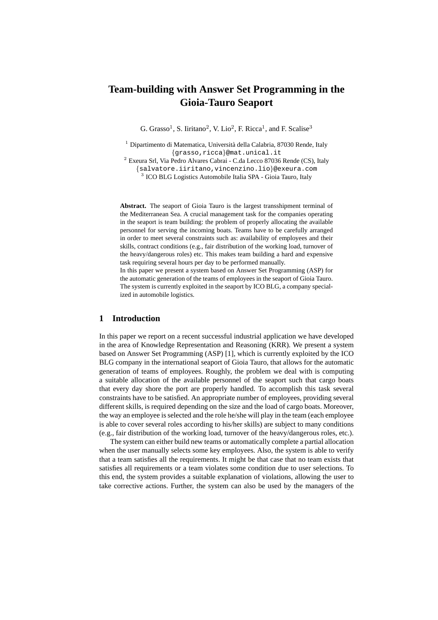# **Team-building with Answer Set Programming in the Gioia-Tauro Seaport**

G. Grasso<sup>1</sup>, S. Iiritano<sup>2</sup>, V. Lio<sup>2</sup>, F. Ricca<sup>1</sup>, and F. Scalise<sup>3</sup>

 $1$  Dipartimento di Matematica, Università della Calabria, 87030 Rende, Italy {grasso,ricca}@mat.unical.it

<sup>2</sup> Exeura Srl, Via Pedro Alvares Cabrai - C.da Lecco 87036 Rende (CS), Italy {salvatore.iiritano,vincenzino.lio}@exeura.com 3 ICO BLG Logistics Automobile Italia SPA - Gioia Tauro, Italy

**Abstract.** The seaport of Gioia Tauro is the largest transshipment terminal of the Mediterranean Sea. A crucial management task for the companies operating in the seaport is team building: the problem of properly allocating the available personnel for serving the incoming boats. Teams have to be carefully arranged in order to meet several constraints such as: availability of employees and their skills, contract conditions (e.g., fair distribution of the working load, turnover of the heavy/dangerous roles) etc. This makes team building a hard and expensive task requiring several hours per day to be performed manually.

In this paper we present a system based on Answer Set Programming (ASP) for the automatic generation of the teams of employees in the seaport of Gioia Tauro. The system is currently exploited in the seaport by ICO BLG, a company specialized in automobile logistics.

## **1 Introduction**

In this paper we report on a recent successful industrial application we have developed in the area of Knowledge Representation and Reasoning (KRR). We present a system based on Answer Set Programming (ASP) [1], which is currently exploited by the ICO BLG company in the international seaport of Gioia Tauro, that allows for the automatic generation of teams of employees. Roughly, the problem we deal with is computing a suitable allocation of the available personnel of the seaport such that cargo boats that every day shore the port are properly handled. To accomplish this task several constraints have to be satisfied. An appropriate number of employees, providing several different skills, is required depending on the size and the load of cargo boats. Moreover, the way an employee is selected and the role he/she will play in the team (each employee is able to cover several roles according to his/her skills) are subject to many conditions (e.g., fair distribution of the working load, turnover of the heavy/dangerous roles, etc.).

The system can either build new teams or automatically complete a partial allocation when the user manually selects some key employees. Also, the system is able to verify that a team satisfies all the requirements. It might be that case that no team exists that satisfies all requirements or a team violates some condition due to user selections. To this end, the system provides a suitable explanation of violations, allowing the user to take corrective actions. Further, the system can also be used by the managers of the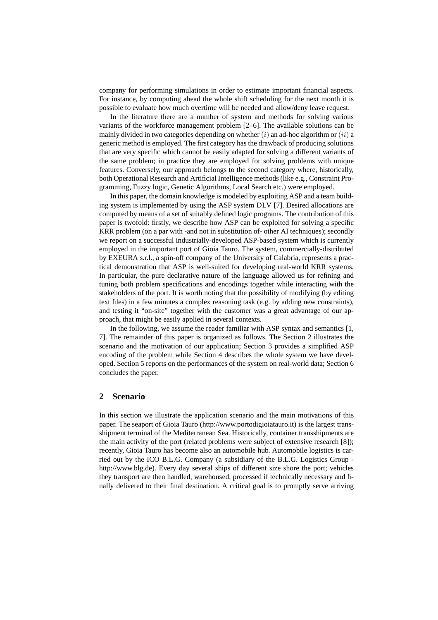company for performing simulations in order to estimate important financial aspects. For instance, by computing ahead the whole shift scheduling for the next month it is possible to evaluate how much overtime will be needed and allow/deny leave request.

In the literature there are a number of system and methods for solving various variants of the workforce management problem [2–6]. The available solutions can be mainly divided in two categories depending on whether  $(i)$  an ad-hoc algorithm or  $(ii)$  a generic method is employed. The first category has the drawback of producing solutions that are very specific which cannot be easily adapted for solving a different variants of the same problem; in practice they are employed for solving problems with unique features. Conversely, our approach belongs to the second category where, historically, both Operational Research and Artificial Intelligence methods (like e.g., Constraint Programming, Fuzzy logic, Genetic Algorithms, Local Search etc.) were employed.

In this paper, the domain knowledge is modeled by exploiting ASP and a team building system is implemented by using the ASP system DLV [7]. Desired allocations are computed by means of a set of suitably defined logic programs. The contribution of this paper is twofold: firstly, we describe how ASP can be exploited for solving a specific KRR problem (on a par with -and not in substitution of- other AI techniques); secondly we report on a successful industrially-developed ASP-based system which is currently employed in the important port of Gioia Tauro. The system, commercially-distributed by EXEURA s.r.l., a spin-off company of the University of Calabria, represents a practical demonstration that ASP is well-suited for developing real-world KRR systems. In particular, the pure declarative nature of the language allowed us for refining and tuning both problem specifications and encodings together while interacting with the stakeholders of the port. It is worth noting that the possibility of modifying (by editing text files) in a few minutes a complex reasoning task (e.g. by adding new constraints), and testing it "on-site" together with the customer was a great advantage of our approach, that might be easily applied in several contexts.

In the following, we assume the reader familiar with ASP syntax and semantics [1, 7]. The remainder of this paper is organized as follows. The Section 2 illustrates the scenario and the motivation of our application; Section 3 provides a simplified ASP encoding of the problem while Section 4 describes the whole system we have developed. Section 5 reports on the performances of the system on real-world data; Section 6 concludes the paper.

#### **2 Scenario**

In this section we illustrate the application scenario and the main motivations of this paper. The seaport of Gioia Tauro (http://www.portodigioiatauro.it) is the largest transshipment terminal of the Mediterranean Sea. Historically, container transshipments are the main activity of the port (related problems were subject of extensive research [8]); recently, Gioia Tauro has become also an automobile hub. Automobile logistics is carried out by the ICO B.L.G. Company (a subsidiary of the B.L.G. Logistics Group http://www.blg.de). Every day several ships of different size shore the port; vehicles they transport are then handled, warehoused, processed if technically necessary and finally delivered to their final destination. A critical goal is to promptly serve arriving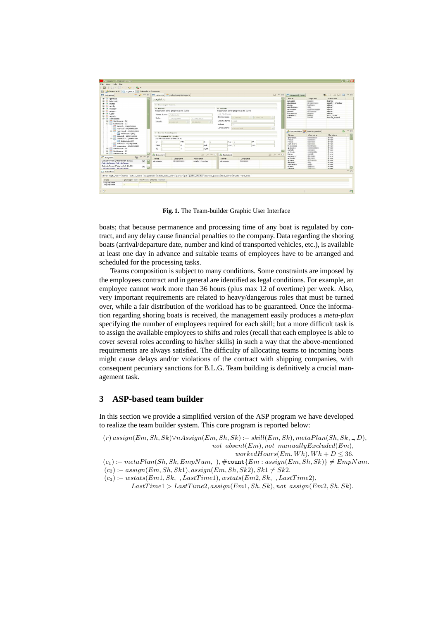| Automa - TeamBuilding<br>File View Help Run<br>$-2$ (2) $-5$ $-1$ (2) $-1$ (2) $-1$<br>Dipendenti   Logistica   Calendario Presenze                                                                                                                                                                                                                                                                                                                                                                                                                                                                                                                                                                                                                                                                                                                                                                                                                                                              |                                                                                                                                                                                                                        |                       |                                   |                         |                                                                                                                                    |  |                                                                                  |                                                                                                                                  |                                                                                                                                                                                                                                                        |                                                                                                                        | $ \bullet$ $\times$ |
|--------------------------------------------------------------------------------------------------------------------------------------------------------------------------------------------------------------------------------------------------------------------------------------------------------------------------------------------------------------------------------------------------------------------------------------------------------------------------------------------------------------------------------------------------------------------------------------------------------------------------------------------------------------------------------------------------------------------------------------------------------------------------------------------------------------------------------------------------------------------------------------------------------------------------------------------------------------------------------------------------|------------------------------------------------------------------------------------------------------------------------------------------------------------------------------------------------------------------------|-----------------------|-----------------------------------|-------------------------|------------------------------------------------------------------------------------------------------------------------------------|--|----------------------------------------------------------------------------------|----------------------------------------------------------------------------------------------------------------------------------|--------------------------------------------------------------------------------------------------------------------------------------------------------------------------------------------------------------------------------------------------------|------------------------------------------------------------------------------------------------------------------------|---------------------|
| $M^2 = 0$<br>Metapiani                                                                                                                                                                                                                                                                                                                                                                                                                                                                                                                                                                                                                                                                                                                                                                                                                                                                                                                                                                           | 同<br>Logistica Calendario Metapiani                                                                                                                                                                                    |                       |                                   |                         |                                                                                                                                    |  | $=$                                                                              | Proprietà Team                                                                                                                   |                                                                                                                                                                                                                                                        | 山西山小生                                                                                                                  | $=$ $-$             |
| @ III gennels<br>@ Ill febbraio<br>@ III marzo<br>(a) (ii) applies<br>@ III maggio<br>@ III gluano<br>@-III luglo<br>@ III agosto<br><b>B</b> III settembre<br>(iii) Settimana - 36<br>-Till Settimana - 37<br><sup>12</sup> lunedi - 07/09/2009<br><sup>12</sup> marted - 08/09/2009<br>- Til mercoledi - 09/09/2009<br>Velasquez (18)<br>Til giovedi - 10/09/2009<br>□ <mark>□</mark> venerdi - 11/09/2009<br>Autoroute (9)<br>abato - 12/09/2009<br>domenica - 13/09/2009<br>G -111 Settimana - 38<br>G - III Settimana - 39<br>(i) TI Settimana - 40<br><b>隆▽一口</b><br>Progress<br>Calcolo Team (Finished at 11:00)<br><b>A</b><br>$\mathbb{X}$<br>Calcolo Team: Calcolo Team<br>Calcolo Team (Finished at 11:06)<br>$\mathbb{R}$<br>ø<br>Calcolo Team: Calcolo Team<br>$\Box$ Statistica<br>driver high heavy lasher lasher coord magazzinieri mobile data entry parker pdi quality checker service person taxi driver trucks yard mde<br>Data<br>gluseppe will oreste an antonio that will | Logistic<br>> Tipologia Turno<br>$\star$ Turno<br>Descrizioni delle proprietà del turno<br>Nome Turno Autoroute<br>Data.<br>11/09/2009<br>11/09/2009<br>Otario<br>50,00,00<br>13,00,00                                 |                       |                                   | $\star$ Turno<br>Volumi | Descrizioni delle proprietà del turno<br>V No Pausa<br>Inizio pausa<br>$ 2 $ 13,00,00<br>10.00.00<br>Durata turno 6:00<br>$\Omega$ |  |                                                                                  | Nome<br>mourizio<br>gluseppe<br>rocco<br>gianfranco<br>gluseppe<br>oreste<br>francesco<br>valeriano<br><b>Eablo</b>              | Cognome<br><b>Granders</b><br>de persona<br><b>Tuesfoars</b><br>scattaneo<br>di Francia<br>placement.<br>prillion.<br>$-14$                                                                                                                            | Mansione<br>lasher<br>quality_checker<br>driver<br>driver<br>driver<br>driver<br>driver<br>taxi driver<br>lasher coord |                     |
|                                                                                                                                                                                                                                                                                                                                                                                                                                                                                                                                                                                                                                                                                                                                                                                                                                                                                                                                                                                                  | Lavorazione<br>CaricoNave<br>Furno Raddoppio<br>* Mansioni Richieste<br>Totale mansioni richieste: 9<br>LC T<br>$\mathbf{D}$<br>HH<br>м<br>υ<br>MDE<br>P<br>Pdi<br>$QC$   1<br>SP.<br>TD<br>$\mathbf{T}$<br><b>Y/M</b> |                       |                                   |                         |                                                                                                                                    |  |                                                                                  | Choonibilità 26 Non Disponibili<br>Nome<br>cluseppe<br>rocco<br>rocco<br>salvatore<br>francesco<br>glankuca<br>natale<br>antonio | Cognome<br>driver<br><b><i><u>Superintendence</u></i></b><br>driver<br><b>Ladians</b><br>driver<br>Lamatoa<br>driver<br><b>Lancesco</b><br>driver<br><b><i><u>Scored lands</u></i></b><br>driver<br>cannot<br>driver<br>CATGAIN<br>driver<br>contacted | ÷.<br>Mansione                                                                                                         | $=$ $-$<br>ES       |
|                                                                                                                                                                                                                                                                                                                                                                                                                                                                                                                                                                                                                                                                                                                                                                                                                                                                                                                                                                                                  | <sup>2</sup> Inclusioni<br>Nome:<br>duseppe                                                                                                                                                                            | Cognome<br>de germani | 张步<br>Mansione<br>quality checker | $=$<br>Nome<br>gkaseppe | 赤ヶつ口<br><b>B</b> Esclusioni<br>Cognome<br>Somewhere.                                                                               |  | fabio<br>duseppe<br>antonio<br>oreste<br>daniele<br>salvatore<br>marco<br>donosa | curulk.<br>dar mass<br>dia cars<br>di Franci<br>a.<br>m<br><b>LARACE</b><br><b>CALLS</b>                                         | driver<br>driver<br>driver<br>driver<br>driver<br>driver<br>driver<br><b>Aritment</b>                                                                                                                                                                  | C<br>and page                                                                                                          |                     |
| 09/09/2009<br>11/09/2009<br>$\Pi^{\circ}$                                                                                                                                                                                                                                                                                                                                                                                                                                                                                                                                                                                                                                                                                                                                                                                                                                                                                                                                                        |                                                                                                                                                                                                                        |                       |                                   |                         |                                                                                                                                    |  |                                                                                  |                                                                                                                                  |                                                                                                                                                                                                                                                        |                                                                                                                        | <b>GD</b>           |

**Fig. 1.** The Team-builder Graphic User Interface

boats; that because permanence and processing time of any boat is regulated by contract, and any delay cause financial penalties to the company. Data regarding the shoring boats (arrival/departure date, number and kind of transported vehicles, etc.), is available at least one day in advance and suitable teams of employees have to be arranged and scheduled for the processing tasks.

Teams composition is subject to many conditions. Some constraints are imposed by the employees contract and in general are identified as legal conditions. For example, an employee cannot work more than 36 hours (plus max 12 of overtime) per week. Also, very important requirements are related to heavy/dangerous roles that must be turned over, while a fair distribution of the workload has to be guaranteed. Once the information regarding shoring boats is received, the management easily produces a *meta-plan* specifying the number of employees required for each skill; but a more difficult task is to assign the available employees to shifts and roles (recall that each employee is able to cover several roles according to his/her skills) in such a way that the above-mentioned requirements are always satisfied. The difficulty of allocating teams to incoming boats might cause delays and/or violations of the contract with shipping companies, with consequent pecuniary sanctions for B.L.G. Team building is definitively a crucial management task.

## **3 ASP-based team builder**

In this section we provide a simplified version of the ASP program we have developed to realize the team builder system. This core program is reported below:

 $(r)$  assign(Em, Sh, Sk)∨nAssign(Em, Sh, Sk) :− skill(Em, Sk), metaPlan(Sh, Sk, ., D), not absent $(Em)$ , not manuallyExcluded(Em),

 $workedHouse(Em, Wh), Wh + D \leq 36.$ 

- $(c_1) := metaPlan(Sh, Sk, EmpNum,.), \#count{Em : assign(Em, Sh, Sk)} \neq EmpNum.$
- $(c_2) := assign(Em, Sh, Sk1), assign(Em, Sh, Sk2), Sk1 \neq Sk2.$
- $(c_3) := wstats(Em1, Sk, \_, LastTime1), wstats(Em2, Sk, \_, LastTime2),$  $LastTime1 > LastTime2, assign(Em1, Sh, Sk), not assign(Em2, Sh, Sk).$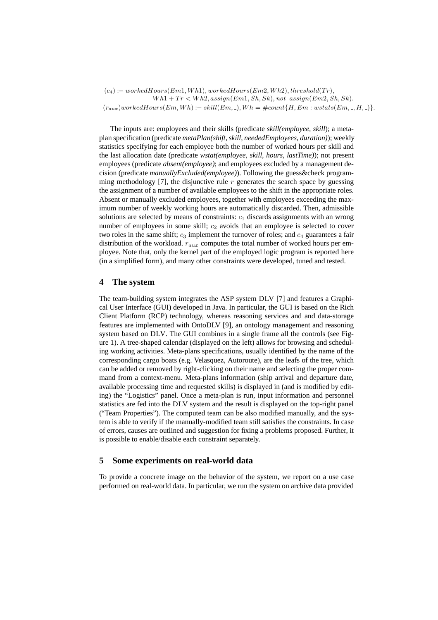$(c_4) := workedHours(Em1, Wh1), workedHours(Em2, Wh2), threshold(Tr),$  $Wh1+Tr < Wh2, assign(Em1, Sh, Sk), not assign(Em2, Sh, Sk).$  $(r_{aux})workedHours(Em, Wh) := skill(Em, \_), Wh = \#count\{H, Em : wstats(Em, \_, H, \_)\}.$ 

The inputs are: employees and their skills (predicate *skill(employee, skill*); a metaplan specification (predicate *metaPlan(shift, skill, neededEmployees, duration)*); weekly statistics specifying for each employee both the number of worked hours per skill and the last allocation date (predicate *wstat(employee, skill, hours, lastTime)*); not present employees (predicate *absent(employee)*; and employees excluded by a management decision (predicate *manuallyExcluded(employee)*). Following the guess&check programming methodology [7], the disjunctive rule  $r$  generates the search space by guessing the assignment of a number of available employees to the shift in the appropriate roles. Absent or manually excluded employees, together with employees exceeding the maximum number of weekly working hours are automatically discarded. Then, admissible solutions are selected by means of constraints:  $c_1$  discards assignments with an wrong number of employees in some skill;  $c_2$  avoids that an employee is selected to cover two roles in the same shift;  $c_3$  implement the turnover of roles; and  $c_4$  guarantees a fair distribution of the workload.  $r_{aux}$  computes the total number of worked hours per employee. Note that, only the kernel part of the employed logic program is reported here (in a simplified form), and many other constraints were developed, tuned and tested.

## **4 The system**

The team-building system integrates the ASP system DLV [7] and features a Graphical User Interface (GUI) developed in Java. In particular, the GUI is based on the Rich Client Platform (RCP) technology, whereas reasoning services and and data-storage features are implemented with OntoDLV [9], an ontology management and reasoning system based on DLV. The GUI combines in a single frame all the controls (see Figure 1). A tree-shaped calendar (displayed on the left) allows for browsing and scheduling working activities. Meta-plans specifications, usually identified by the name of the corresponding cargo boats (e.g. Velasquez, Autoroute), are the leafs of the tree, which can be added or removed by right-clicking on their name and selecting the proper command from a context-menu. Meta-plans information (ship arrival and departure date, available processing time and requested skills) is displayed in (and is modified by editing) the "Logistics" panel. Once a meta-plan is run, input information and personnel statistics are fed into the DLV system and the result is displayed on the top-right panel ("Team Properties"). The computed team can be also modified manually, and the system is able to verify if the manually-modified team still satisfies the constraints. In case of errors, causes are outlined and suggestion for fixing a problems proposed. Further, it is possible to enable/disable each constraint separately.

### **5 Some experiments on real-world data**

To provide a concrete image on the behavior of the system, we report on a use case performed on real-world data. In particular, we run the system on archive data provided